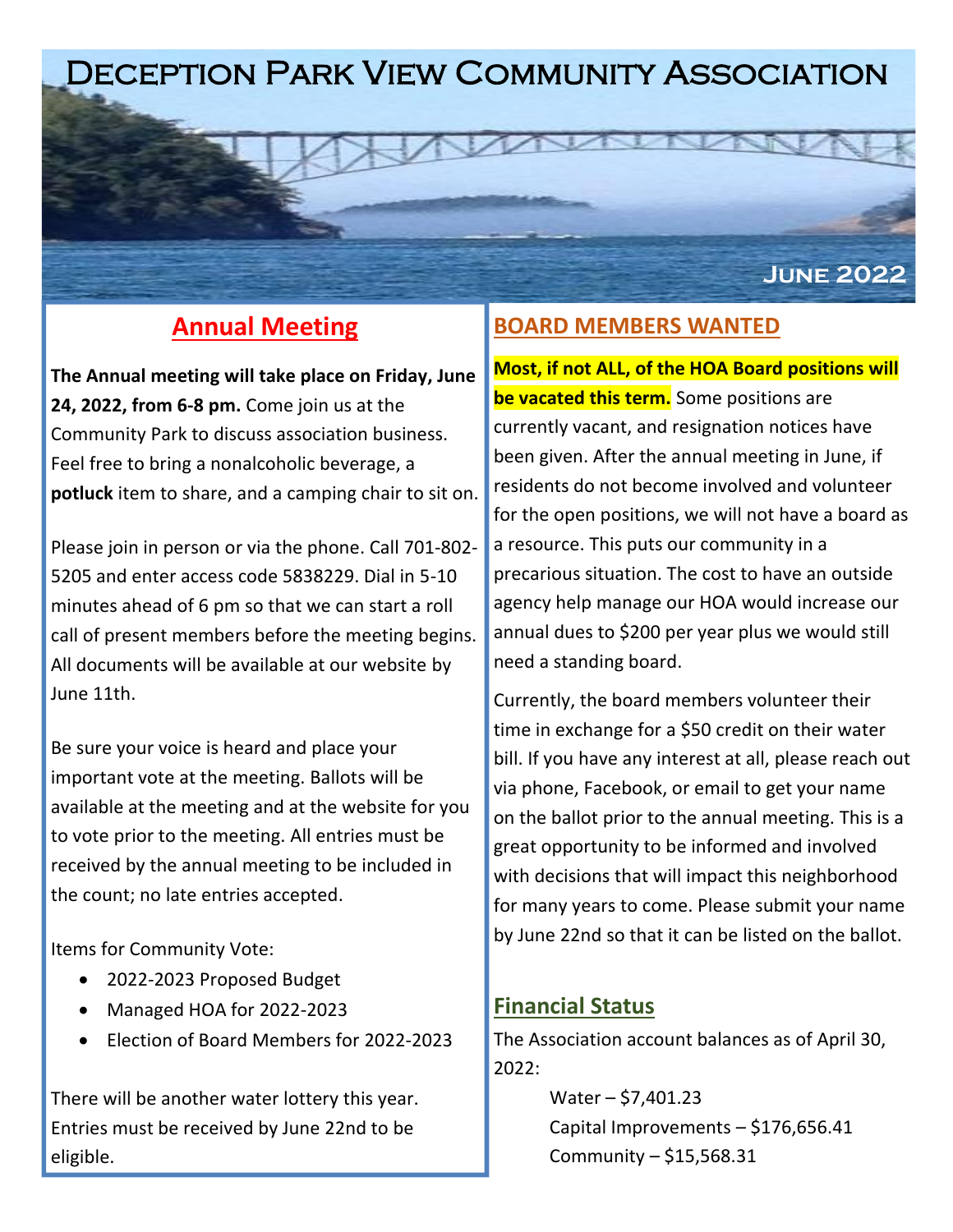# Deception Park View Community Association

# **Annual Meeting**

**The Annual meeting will take place on Friday, June 24, 2022, from 6-8 pm.** Come join us at the Community Park to discuss association business. Feel free to bring a nonalcoholic beverage, a **potluck** item to share, and a camping chair to sit on.

Please join in person or via the phone. Call 701-802- 5205 and enter access code 5838229. Dial in 5-10 minutes ahead of 6 pm so that we can start a roll call of present members before the meeting begins. All documents will be available at our website by June 11th.

Be sure your voice is heard and place your important vote at the meeting. Ballots will be available at the meeting and at the website for you to vote prior to the meeting. All entries must be received by the annual meeting to be included in the count; no late entries accepted.

Items for Community Vote:

- 2022-2023 Proposed Budget
- Managed HOA for 2022-2023
- Election of Board Members for 2022-2023

There will be another water lottery this year. Entries must be received by June 22nd to be eligible.

### **BOARD MEMBERS WANTED**

**Most, if not ALL, of the HOA Board positions will be vacated this term.** Some positions are currently vacant, and resignation notices have been given. After the annual meeting in June, if residents do not become involved and volunteer for the open positions, we will not have a board as a resource. This puts our community in a precarious situation. The cost to have an outside agency help manage our HOA would increase our annual dues to \$200 per year plus we would still need a standing board.

**June 2022**

Currently, the board members volunteer their time in exchange for a \$50 credit on their water bill. If you have any interest at all, please reach out via phone, Facebook, or email to get your name on the ballot prior to the annual meeting. This is a great opportunity to be informed and involved with decisions that will impact this neighborhood for many years to come. Please submit your name by June 22nd so that it can be listed on the ballot.

#### **Financial Status**

The Association account balances as of April 30,  $2022:$ 

> $Water - $7,401.23$ Capital Improvements – \$176,656.41 Community – \$15,568.31